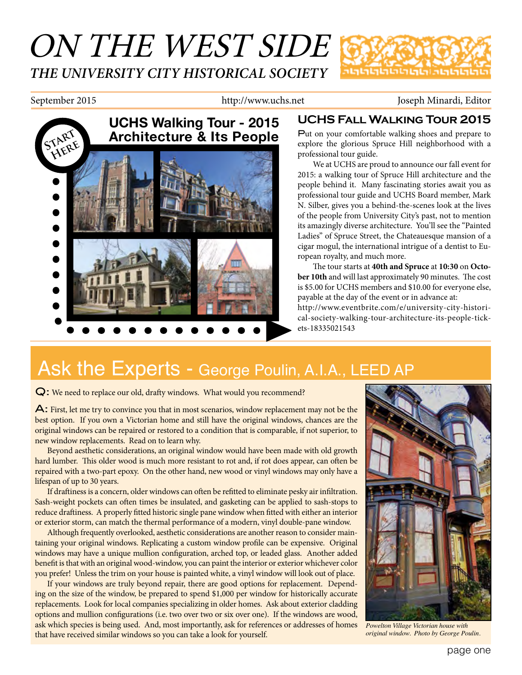# ON THE WEST SIDE *THE UNIVERSITY CITY HISTORICAL SOCIETY* าตตตตตตตตตตต

September 2015 http://www.uchs.net Joseph Minardi, Editor



## **UCHS Fall Walking Tour 2015**

Put on your comfortable walking shoes and prepare to explore the glorious Spruce Hill neighborhood with a professional tour guide.

We at UCHS are proud to announce our fall event for 2015: a walking tour of Spruce Hill architecture and the people behind it. Many fascinating stories await you as professional tour guide and UCHS Board member, Mark N. Silber, gives you a behind-the-scenes look at the lives of the people from University City's past, not to mention its amazingly diverse architecture. You'll see the "Painted Ladies" of Spruce Street, the Chateauesque mansion of a cigar mogul, the international intrigue of a dentist to European royalty, and much more.

The tour starts at **40th and Spruce** at **10:30** on **October 10th** and will last approximately 90 minutes. The cost is \$5.00 for UCHS members and \$10.00 for everyone else, payable at the day of the event or in advance at: http://www.eventbrite.com/e/university-city-historical-society-walking-tour-architecture-its-people-tickets-18335021543

# Ask the Experts - George Poulin, A.I.A., LEED AP

Q: We need to replace our old, drafty windows. What would you recommend?

A: First, let me try to convince you that in most scenarios, window replacement may not be the best option. If you own a Victorian home and still have the original windows, chances are the original windows can be repaired or restored to a condition that is comparable, if not superior, to new window replacements. Read on to learn why.

Beyond aesthetic considerations, an original window would have been made with old growth hard lumber. This older wood is much more resistant to rot and, if rot does appear, can often be repaired with a two-part epoxy. On the other hand, new wood or vinyl windows may only have a lifespan of up to 30 years.

If draftiness is a concern, older windows can often be refitted to eliminate pesky air infiltration. Sash-weight pockets can often times be insulated, and gasketing can be applied to sash-stops to reduce draftiness. A properly fitted historic single pane window when fitted with either an interior or exterior storm, can match the thermal performance of a modern, vinyl double-pane window.

Although frequently overlooked, aesthetic considerations are another reason to consider maintaining your original windows. Replicating a custom window profile can be expensive. Original windows may have a unique mullion configuration, arched top, or leaded glass. Another added benefit is that with an original wood-window, you can paint the interior or exterior whichever color you prefer! Unless the trim on your house is painted white, a vinyl window will look out of place.

If your windows are truly beyond repair, there are good options for replacement. Depending on the size of the window, be prepared to spend \$1,000 per window for historically accurate replacements. Look for local companies specializing in older homes. Ask about exterior cladding options and mullion configurations (i.e. two over two or six over one). If the windows are wood, ask which species is being used. And, most importantly, ask for references or addresses of homes that have received similar windows so you can take a look for yourself.



*Powelton Village Victorian house with original window. Photo by George Poulin.*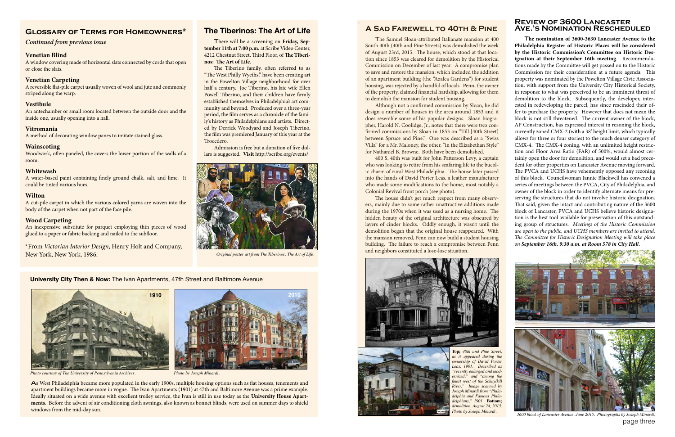#### **Review of 3600 Lancaster Ave.'s Nomination Rescheduled**

T**he nomination of 3600-3630 Lancaster Avenue to the Philadelphia Register of Historic Places will be considered by the Historic Commission's Committee on Historic Designation at their September 16th meeting**. Recommendations made by the Committee will get passed on to the Historic Commission for their consideration at a future agenda. This property was nominated by the Powelton Village Civic Association, with support from the University City Historical Society, in response to what was perceived to be an imminent threat of demolition to the block. Subsequently, the developer, interested in redeveloping the parcel, has since rescinded their offer to purchase the property. However that does not mean the block is not still threatened. The current owner of the block, AP Construction, has expressed interest in rezoning the block, currently zoned CMX-2 (with a 38' height limit, which typically allows for three or four stories) to the much denser category of CMX-4. The CMX-4 zoning, with an unlimited height restriction and Floor Area Ratio (FAR) of 500%, would almost certainly open the door for demolition, and would set a bad precedent for other properties on Lancaster Avenue moving forward. The PVCA and UCHS have vehemently opposed any rezoning of this block. Councilwoman Jannie Blackwell has convened a series of meetings between the PVCA, City of Philadelphia, and owner of the block in order to identify alternate means for preserving the structures that do not involve historic designation. That said, given the intact and contributing nature of the 3600 block of Lancaster, PVCA and UCHS believe historic designation is the best tool available for preservation of this outstanding group of structures. *Meetings of the Historic Commission are open to the public, and UCHS members are invited to attend. The Committee for Historic Designation Meeting will take place on September 16th, 9:30 a.m. at Room 578 in City Hall*.



page three 3600 block of Lancaster Avenue, June 2015. Photographs by Joseph Min

### **Glossary of Terms for Homeowners\***

#### *Continued from previous issue*

#### **Venetian Blind**

A window covering made of horizontal slats connected by cords that open or close the slats.

#### **Venetian Carpeting**

A reversible flat-pile carpet usually woven of wool and jute and commonly striped along the warp.

#### **Vestibule**

An antechamber or small room located between the outside door and the inside one, usually opening into a hall.

#### **Vitromania**

A method of decorating window panes to imitate stained glass.

#### **Wainscoting**

Woodwork, often paneled, the covers the lower portion of the walls of a room.

#### **Whitewash**

A water-based paint containing finely ground chalk, salt, and lime. It could be tinted various hues.

#### **Wilton**

A cut-pile carpet in which the various colored yarns are woven into the body of the carpet when not part of the face pile.

#### **Wood Carpeting**

An inexpensive substitute for parquet employing thin pieces of wood glued to a paper or fabric backing and nailed to the subfloor.

\*From *Victorian Interior Design*, Henry Holt and Company, New York, New York, 1986.



There will be a screening on **Friday, September 11th at 7:00 p.m.** at Scribe Video Center, 4212 Chestnut Street, Third Floor, of **The Tiberinos: The Art of Life**.

The Tiberino family, often referred to as "The West Philly Wyeths," have been creating art in the Powelton Village neighborhood for over half a century. Joe Tiberino, his late wife Ellen Powell Tiberino, and their children have firmly established themselves in Philadelphia's art community and beyond. Produced over a three-year period, the film serves as a chronicle of the family's history as Philadelphians and artists. Directed by Derrick Woodyard and Joseph Tiberino, the film was premiered January of this year at the Trocedero.

Admission is free but a donation of five dollars is suggested. **Visit** http://scribe.org/events/

### **A Sad Farewell to 40th & Pine**

The Samuel Sloan-attributed Italianate mansion at 400 South 40th (40th and Pine Streets) was demolished the week of August 23rd, 2015. The house, which stood at that location since 1853 was cleared for demolition by the Historical Commission on December of last year. A compromise plan to save and restore the mansion, which included the addition of an apartment building (the "Azalea Gardens") for student housing, was rejected by a handful of locals. Penn, the owner of the property, claimed financial hardship, allowing for them to demolish the mansion for student housing.

Although not a confirmed commission by Sloan, he did design a number of houses in the area around 1853 and it does resemble some of his popular designs. Sloan biographer, Harold N. Coolidge, Jr., notes that there were two confirmed commissions by Sloan in 1853 on "Till [40th Street] between Spruce and Pine." One was described as a "Swiss Villa" for a Mr. Maloney, the other, "in the Elizabethan Style" for Nathaniel B. Browne. Both have been demolished.

400 S. 40th was built for John Patterson Levy, a captain who was looking to retire from his seafaring life to the bucolic charm of rural West Philadelphia. The house later passed into the hands of David Porter Leas, a leather manufacturer who made some modifications to the home, most notably a Colonial Revival front porch (see photo).

The house didn't get much respect from many observers, mainly due to some rather unattractive additions made during the 1970s when it was used as a nursing home. The hidden beauty of the original architecture was obscured by layers of cinder blocks. Oddly enough, it wasn't until the demolition began that the original house reappeared. With the mansion removed, Penn can now build a student housing building. The failure to reach a compromise between Penn and neighbors constituted a lose-lose situation.







*Photo courtesy of The University of Pennsylvania Archives. Photo by Joseph Minardi.*



As West Philadelphia became more populated in the early 1900s, multiple housing options such as flat houses, tenements and apartment buildings became more in vogue. The Ivan Apartments (1901) at 47th and Baltimore Avenue was a prime example. Ideally situated on a wide avenue with excellent trolley service, the Ivan is still in use today as the **University House Apartments**. Before the advent of air conditioning cloth awnings, also known as bonnet blinds, were used on summer days to shield windows from the mid-day sun.



*Original poster art from The Tiberinos: The Art of Life.*

**Top;** *40th and Pine Street, as it appeared during the ownership of David Porter Leas, 1901. Described as "recently enlarged and modernized," and "among the finest west of the Schuylkill River." Image scanned by Joseph Minardi from "Philadelphia and Famous Philadelphians," 1901.* **Bottom;** *demolition, August 24, 2015. Photo by Joseph Minardi.*

#### **University City Then & Now:** The Ivan Apartments, 47th Street and Baltimore Avenue

**2010**